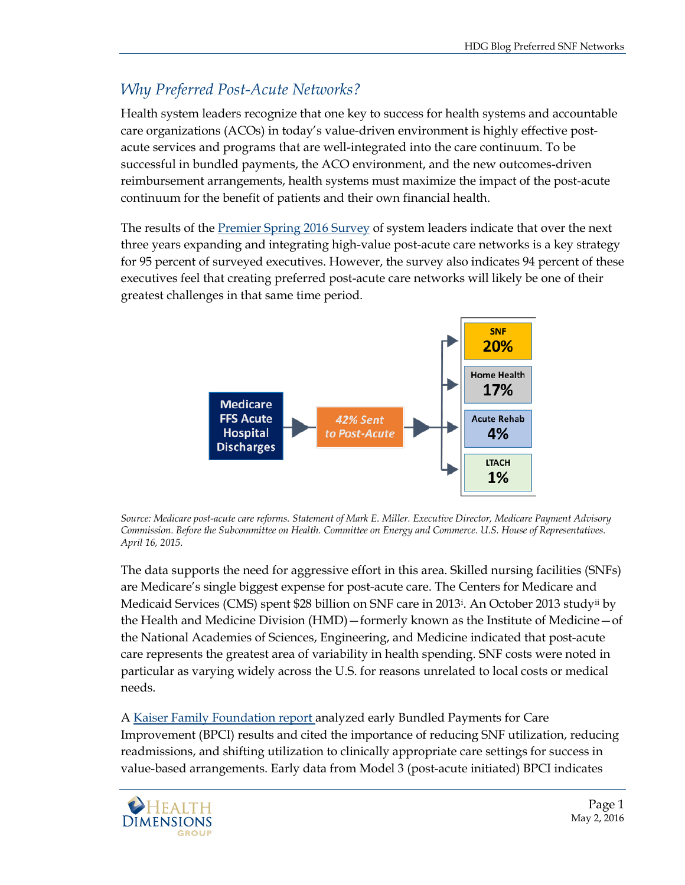## *Why Preferred Post-Acute Networks?*

Health system leaders recognize that one key to success for health systems and accountable care organizations (ACOs) in today's value-driven environment is highly effective postacute services and programs that are well-integrated into the care continuum. To be successful in bundled payments, the ACO environment, and the new outcomes-driven reimbursement arrangements, health systems must maximize the impact of the post-acute continuum for the benefit of patients and their own financial health.

The results of the [Premier Spring 2016 Survey](https://www.premierinc.com/wp-content/uploads/2016/04/EOSpring16Survey_HandoutFNL-1.pdf) of system leaders indicate that over the next three years expanding and integrating high-value post-acute care networks is a key strategy for 95 percent of surveyed executives. However, the survey also indicates 94 percent of these executives feel that creating preferred post-acute care networks will likely be one of their greatest challenges in that same time period.



*Source: Medicare post-acute care reforms. Statement of Mark E. Miller. Executive Director, Medicare Payment Advisory Commission. Before the Subcommittee on Health. Committee on Energy and Commerce. U.S. House of Representatives. April 16, 2015.* 

The data supports the need for aggressive effort in this area. Skilled nursing facilities (SNFs) are Medicare's single biggest expense for post-acute care. The Centers for Medicare and Medicaid Services (CMS) spent \$28 billion on SNF care in 2013[i](#page-4-0) . An October 2013 study[ii](#page-4-1) by the Health and Medicine Division (HMD)—formerly known as the Institute of Medicine—of the National Academies of Sciences, Engineering, and Medicine indicated that post-acute care represents the greatest area of variability in health spending. SNF costs were noted in particular as varying widely across the U.S. for reasons unrelated to local costs or medical needs.

A [Kaiser Family Foundation report](http://files.kff.org/attachment/report-payment-and-delivery-system-reform-in-medicare-a-primer-on-medical-homes-accountable-care-organizations-and-bundled-payments) analyzed early Bundled Payments for Care Improvement (BPCI) results and cited the importance of reducing SNF utilization, reducing readmissions, and shifting utilization to clinically appropriate care settings for success in value-based arrangements. Early data from Model 3 (post-acute initiated) BPCI indicates

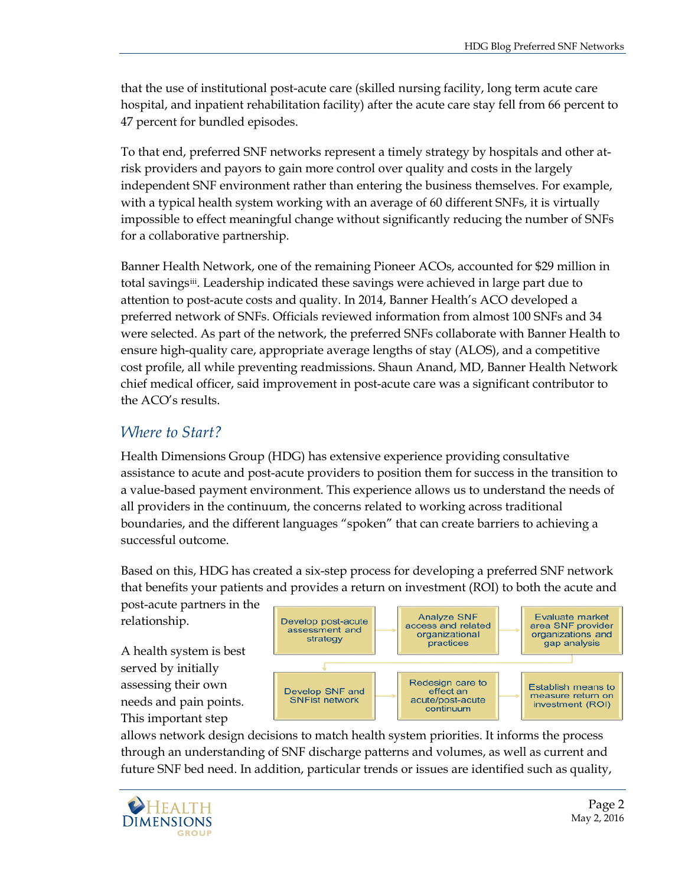that the use of institutional post-acute care (skilled nursing facility, long term acute care hospital, and inpatient rehabilitation facility) after the acute care stay fell from 66 percent to 47 percent for bundled episodes.

To that end, preferred SNF networks represent a timely strategy by hospitals and other atrisk providers and payors to gain more control over quality and costs in the largely independent SNF environment rather than entering the business themselves. For example, with a typical health system working with an average of 60 different SNFs, it is virtually impossible to effect meaningful change without significantly reducing the number of SNFs for a collaborative partnership.

Banner Health Network, one of the remaining Pioneer ACOs, accounted for \$29 million in total savings[iii](#page-4-2). Leadership indicated these savings were achieved in large part due to attention to post-acute costs and quality. In 2014, Banner Health's ACO developed a preferred network of SNFs. Officials reviewed information from almost 100 SNFs and 34 were selected. As part of the network, the preferred SNFs collaborate with Banner Health to ensure high-quality care, appropriate average lengths of stay (ALOS), and a competitive cost profile, all while preventing readmissions. Shaun Anand, MD, Banner Health Network chief medical officer, said improvement in post-acute care was a significant contributor to the ACO's results.

## *Where to Start?*

Health Dimensions Group (HDG) has extensive experience providing consultative assistance to acute and post-acute providers to position them for success in the transition to a value-based payment environment. This experience allows us to understand the needs of all providers in the continuum, the concerns related to working across traditional boundaries, and the different languages "spoken" that can create barriers to achieving a successful outcome.

Based on this, HDG has created a six-step process for developing a preferred SNF network that benefits your patients and provides a return on investment (ROI) to both the acute and

post-acute partners in the relationship.

A health system is best served by initially assessing their own needs and pain points. This important step



allows network design decisions to match health system priorities. It informs the process through an understanding of SNF discharge patterns and volumes, as well as current and future SNF bed need. In addition, particular trends or issues are identified such as quality,

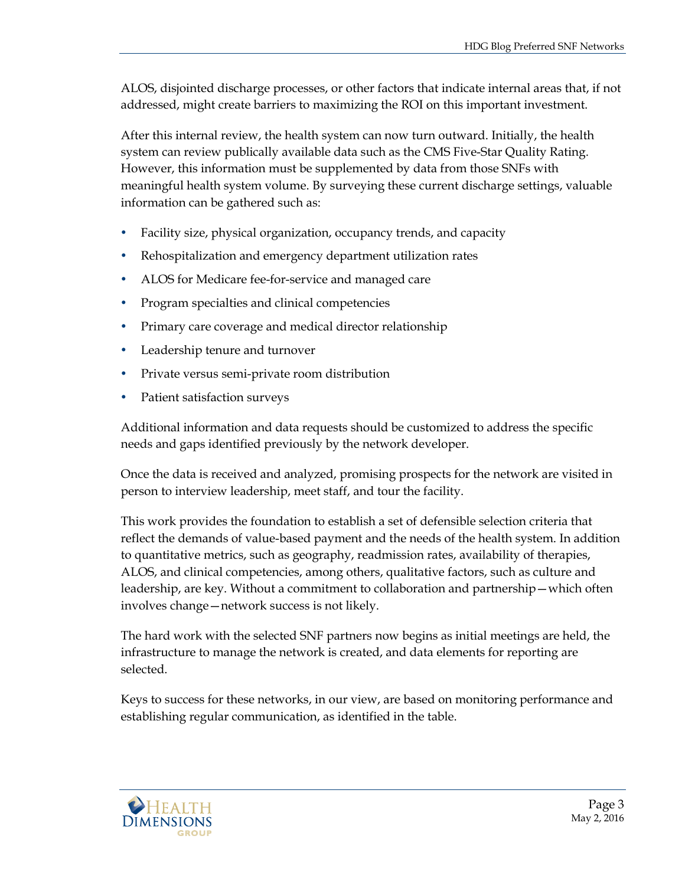ALOS, disjointed discharge processes, or other factors that indicate internal areas that, if not addressed, might create barriers to maximizing the ROI on this important investment.

After this internal review, the health system can now turn outward. Initially, the health system can review publically available data such as the CMS Five-Star Quality Rating. However, this information must be supplemented by data from those SNFs with meaningful health system volume. By surveying these current discharge settings, valuable information can be gathered such as:

- Facility size, physical organization, occupancy trends, and capacity
- Rehospitalization and emergency department utilization rates
- ALOS for Medicare fee-for-service and managed care
- Program specialties and clinical competencies
- Primary care coverage and medical director relationship
- Leadership tenure and turnover
- Private versus semi-private room distribution
- Patient satisfaction surveys

Additional information and data requests should be customized to address the specific needs and gaps identified previously by the network developer.

Once the data is received and analyzed, promising prospects for the network are visited in person to interview leadership, meet staff, and tour the facility.

This work provides the foundation to establish a set of defensible selection criteria that reflect the demands of value-based payment and the needs of the health system. In addition to quantitative metrics, such as geography, readmission rates, availability of therapies, ALOS, and clinical competencies, among others, qualitative factors, such as culture and leadership, are key. Without a commitment to collaboration and partnership—which often involves change—network success is not likely.

The hard work with the selected SNF partners now begins as initial meetings are held, the infrastructure to manage the network is created, and data elements for reporting are selected.

Keys to success for these networks, in our view, are based on monitoring performance and establishing regular communication, as identified in the table.

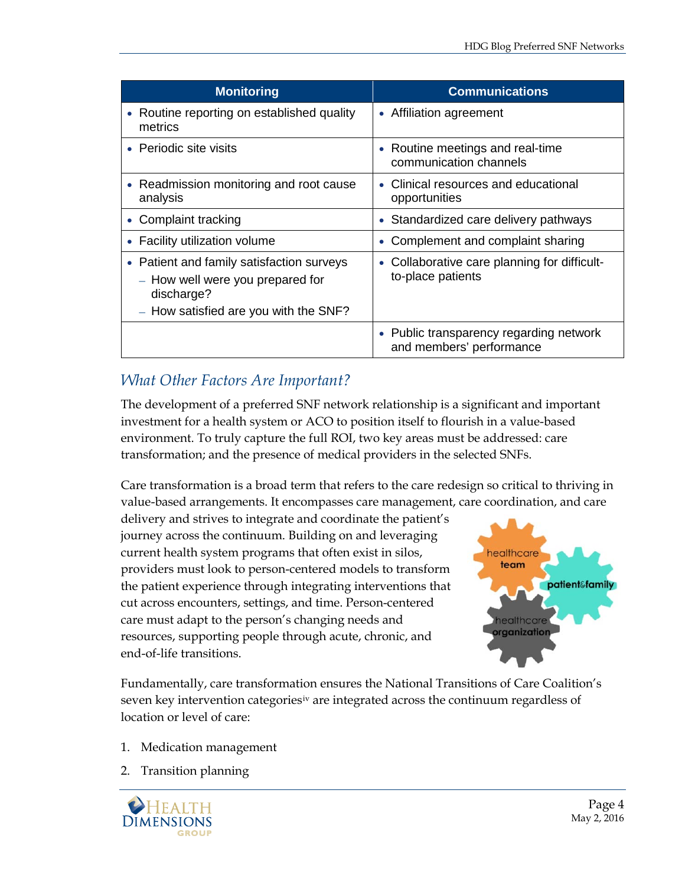| <b>Monitoring</b>                                                                                                                    | <b>Communications</b>                                               |
|--------------------------------------------------------------------------------------------------------------------------------------|---------------------------------------------------------------------|
| • Routine reporting on established quality<br>metrics                                                                                | • Affiliation agreement                                             |
| • Periodic site visits                                                                                                               | • Routine meetings and real-time<br>communication channels          |
| • Readmission monitoring and root cause<br>analysis                                                                                  | • Clinical resources and educational<br>opportunities               |
| • Complaint tracking                                                                                                                 | • Standardized care delivery pathways                               |
| Facility utilization volume<br>۰                                                                                                     | Complement and complaint sharing                                    |
| • Patient and family satisfaction surveys<br>- How well were you prepared for<br>discharge?<br>- How satisfied are you with the SNF? | • Collaborative care planning for difficult-<br>to-place patients   |
|                                                                                                                                      | • Public transparency regarding network<br>and members' performance |

## *What Other Factors Are Important?*

The development of a preferred SNF network relationship is a significant and important investment for a health system or ACO to position itself to flourish in a value-based environment. To truly capture the full ROI, two key areas must be addressed: care transformation; and the presence of medical providers in the selected SNFs.

Care transformation is a broad term that refers to the care redesign so critical to thriving in value-based arrangements. It encompasses care management, care coordination, and care

delivery and strives to integrate and coordinate the patient's journey across the continuum. Building on and leveraging current health system programs that often exist in silos, providers must look to person-centered models to transform the patient experience through integrating interventions that cut across encounters, settings, and time. Person-centered care must adapt to the person's changing needs and resources, supporting people through acute, chronic, and end-of-life transitions.



Fundamentally, care transformation ensures the National Transitions of Care Coalition's seven key intervention categories<sup>[iv](#page-4-3)</sup> are integrated across the continuum regardless of location or level of care:

- 1. Medication management
- 2. Transition planning